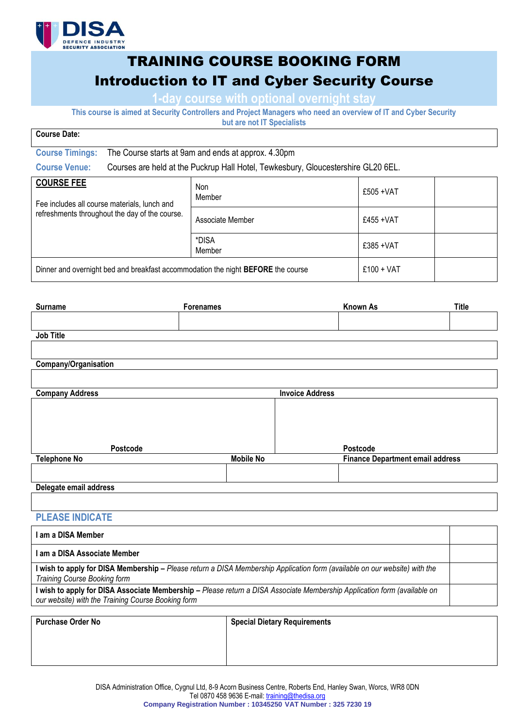

# TRAINING COURSE BOOKING FORM Introduction to IT and Cyber Security Course

**1-day course with optional overnight stay**

**This course is aimed at Security Controllers and Project Managers who need an overview of IT and Cyber Security but are not IT Specialists**

| <b>DUL AIG HUL II UNGUIAHOLO</b>                                                                                    |                                                                                   |                      |              |  |  |
|---------------------------------------------------------------------------------------------------------------------|-----------------------------------------------------------------------------------|----------------------|--------------|--|--|
| <b>Course Date:</b>                                                                                                 |                                                                                   |                      |              |  |  |
| <b>Course Timings:</b>                                                                                              | The Course starts at 9am and ends at approx. 4.30pm                               |                      |              |  |  |
| <b>Course Venue:</b>                                                                                                | Courses are held at the Puckrup Hall Hotel, Tewkesbury, Gloucestershire GL20 6EL. |                      |              |  |  |
| <b>COURSE FEE</b><br>Fee includes all course materials, lunch and<br>refreshments throughout the day of the course. |                                                                                   | <b>Non</b><br>Member | $£505 + VAT$ |  |  |
|                                                                                                                     |                                                                                   | Associate Member     | £455 + $VAT$ |  |  |
|                                                                                                                     |                                                                                   | *DISA<br>Member      | $£385 + VAT$ |  |  |
| Dinner and overnight bed and breakfast accommodation the night <b>BEFORE</b> the course                             |                                                                                   |                      | $£100 + VAT$ |  |  |

| <b>Surname</b>         | Forenames        |                        | <b>Known As</b>                         | <b>Title</b> |
|------------------------|------------------|------------------------|-----------------------------------------|--------------|
|                        |                  |                        |                                         |              |
| Job Title              |                  |                        |                                         |              |
|                        |                  |                        |                                         |              |
| Company/Organisation   |                  |                        |                                         |              |
|                        |                  |                        |                                         |              |
| <b>Company Address</b> |                  | <b>Invoice Address</b> |                                         |              |
|                        |                  |                        |                                         |              |
|                        |                  |                        |                                         |              |
|                        |                  |                        |                                         |              |
| Postcode               |                  |                        | Postcode                                |              |
| <b>Telephone No</b>    | <b>Mobile No</b> |                        | <b>Finance Department email address</b> |              |
|                        |                  |                        |                                         |              |
| Delegate email address |                  |                        |                                         |              |
|                        |                  |                        |                                         |              |

### **PLEASE INDICATE**

| I am a DISA Member                                                                                                                                                             |  |
|--------------------------------------------------------------------------------------------------------------------------------------------------------------------------------|--|
| I am a DISA Associate Member                                                                                                                                                   |  |
| I wish to apply for DISA Membership – Please return a DISA Membership Application form (available on our website) with the<br>Training Course Booking form                     |  |
| I wish to apply for DISA Associate Membership - Please return a DISA Associate Membership Application form (available on<br>our website) with the Training Course Booking form |  |

| <b>Purchase Order No</b> | <b>Special Dietary Requirements</b> |
|--------------------------|-------------------------------------|
|                          |                                     |
|                          |                                     |
|                          |                                     |
|                          |                                     |

DISA Administration Office, Cygnul Ltd, 8-9 Acorn Business Centre, Roberts End, Hanley Swan, Worcs, WR8 0DN Tel 0870 458 9636 E-mail: [training@thedisa.org](mailto:training@thedisa.org) **Company Registration Number : 10345250 VAT Number : 325 7230 19**